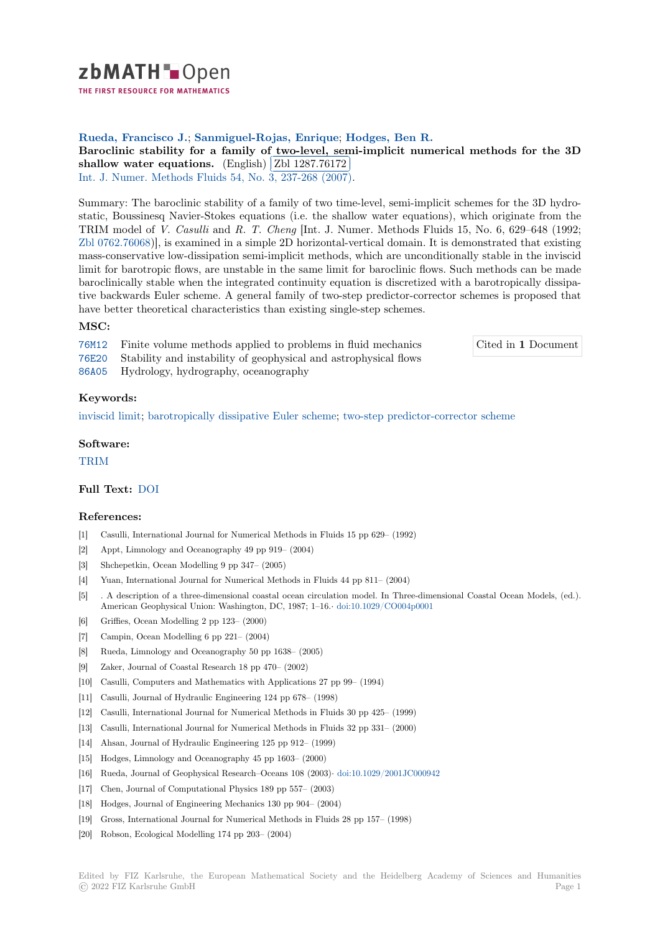

THE FIRST RESOURCE FOR MATHEMATICS

# **Rueda, Francisco J.**; **Sanmiguel-Rojas, Enrique**; **Hodges, Ben R.**

**[B](https://zbmath.org/)aroclinic stability for a family of two-level, semi-implicit numerical methods for the 3D Shallow water equations.** (English) **Zbl 1287.76172** 

**EDITED TRANSITY (EDITED 1201.10112)**<br>Int. J. Numer. Methods Fluids 54, No. 3, 237-268 (2007).

[Summary: The baroclinic stability of a family of two time-level, semi-implicit schemes for the 3D hydro](https://zbmath.org/1287.76172)[static, Boussinesq Navier-Sto](https://zbmath.org/1287.76172)kes equati[ons \(i.e. the shallo](https://zbmath.org/1287.76172)w water equations), which originate from the [TRIM model of](https://zbmath.org/journals/?q=se:105) *V. Casulli* and *[R. T. Cheng](https://zbmath.org/?q=in:207630)* [Int. J. Numer. Methods Fluids 15, No. 6, 629–648 (1992; Zbl 0762.76068)], is examined in a simple 2D horizontal-vertical domain. It is demonstrated that existing mass-conservative low-dissipation semi-implicit methods, which are unconditionally stable in the inviscid limit for barotropic flows, are unstable in the same limit for baroclinic flows. Such methods can be made baroclinically stable when the integrated continuity equation is discretized with a barotropically dissipa[tive backwards](https://zbmath.org/?q=an:0762.76068) Euler scheme. A general family of two-step predictor-corrector schemes is proposed that have better theoretical characteristics than existing single-step schemes.

## **MSC:**

76M12 Finite volume methods applied to problems in fluid mechanics 76E20 Stability and instability of geophysical and astrophysical flows

Cited in **1** Document

86A05 Hydrology, hydrography, oceanography

## **[Keyw](https://zbmath.org/classification/?q=cc:76M12)ords:**

[invisci](https://zbmath.org/classification/?q=cc:76E20)d limit; barotropically dissipative Euler scheme; two-step predictor-corrector scheme

## **Software:**

[TRIM](https://zbmath.org/?q=ut:inviscid+limit)

## **Full Text:** DOI

#### **[Refer](https://swmath.org/software/1375)ences:**

- [1] Casulli, International Journal for Numerical Methods in Fluids 15 pp 629– (1992)
- [2] Appt, Li[mnolog](https://dx.doi.org/10.1002/fld.1391)y and Oceanography 49 pp 919– (2004)
- [3] Shchepetkin, Ocean Modelling 9 pp 347– (2005)
- [4] Yuan, International Journal for Numerical Methods in Fluids 44 pp 811– (2004)
- [5] . A description of a three-dimensional coastal ocean circulation model. In Three-dimensional Coastal Ocean Models, (ed.). American Geophysical Union: Washington, DC, 1987; 1–16.*·* doi:10.1029/CO004p0001
- [6] Griffies, Ocean Modelling 2 pp 123– (2000)
- [7] Campin, Ocean Modelling 6 pp 221– (2004)
- [8] Rueda, Limnology and Oceanography 50 pp 1638– (2005)
- [9] Zaker, Journal of Coastal Research 18 pp 470– (2002)
- [10] Casulli, Computers and Mathematics with Applications 27 pp 99– (1994)
- [11] Casulli, Journal of Hydraulic Engineering 124 pp 678– (1998)
- [12] Casulli, International Journal for Numerical Methods in Fluids 30 pp 425– (1999)
- [13] Casulli, International Journal for Numerical Methods in Fluids 32 pp 331– (2000)
- [14] Ahsan, Journal of Hydraulic Engineering 125 pp 912– (1999)
- [15] Hodges, Limnology and Oceanography 45 pp 1603– (2000)
- [16] Rueda, Journal of Geophysical Research–Oceans 108 (2003)*·* doi:10.1029/2001JC000942
- [17] Chen, Journal of Computational Physics 189 pp 557– (2003)
- [18] Hodges, Journal of Engineering Mechanics 130 pp 904– (2004)
- [19] Gross, International Journal for Numerical Methods in Fluid[s 28 pp 157– \(1998\)](https://dx.doi.org/10.1029/2001JC000942)
- [20] Robson, Ecological Modelling 174 pp 203– (2004)